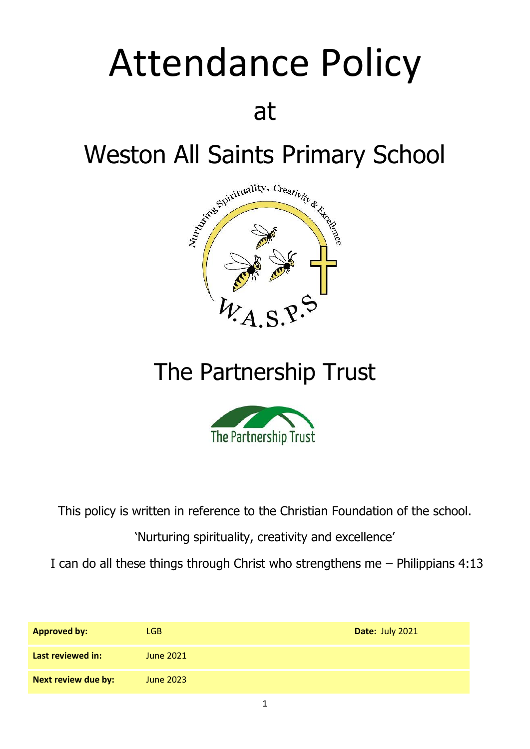# Attendance Policy at



## The Partnership Trust



This policy is written in reference to the Christian Foundation of the school.

'Nurturing spirituality, creativity and excellence'

I can do all these things through Christ who strengthens me – Philippians 4:13

| <b>Approved by:</b> | LGB.             | Date: July 2021 |
|---------------------|------------------|-----------------|
| Last reviewed in:   | <b>June 2021</b> |                 |
| Next review due by: | June 2023        |                 |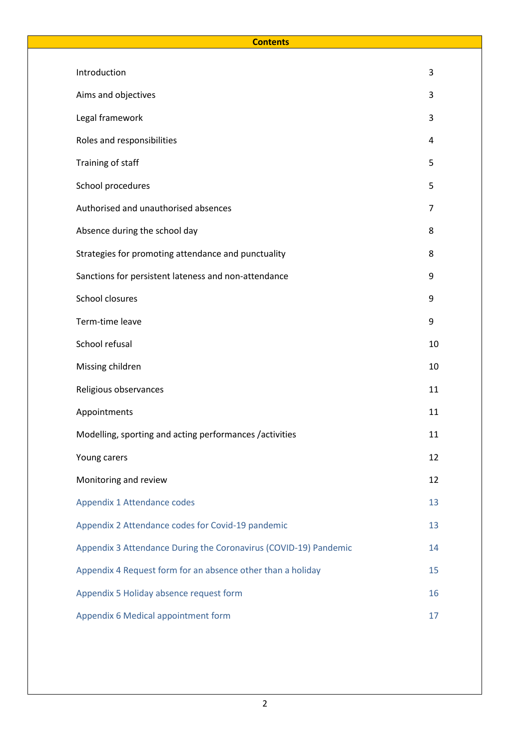#### **Contents**

| Introduction                                                     | 3  |
|------------------------------------------------------------------|----|
| Aims and objectives                                              | 3  |
| Legal framework                                                  | 3  |
| Roles and responsibilities                                       | 4  |
| Training of staff                                                | 5  |
| School procedures                                                | 5  |
| Authorised and unauthorised absences                             | 7  |
| Absence during the school day                                    | 8  |
| Strategies for promoting attendance and punctuality              | 8  |
| Sanctions for persistent lateness and non-attendance             | 9  |
| School closures                                                  | 9  |
| Term-time leave                                                  | 9  |
| School refusal                                                   | 10 |
| Missing children                                                 | 10 |
| Religious observances                                            | 11 |
| Appointments                                                     | 11 |
| Modelling, sporting and acting performances /activities          | 11 |
| Young carers                                                     | 12 |
| Monitoring and review                                            | 12 |
| Appendix 1 Attendance codes                                      | 13 |
| Appendix 2 Attendance codes for Covid-19 pandemic                | 13 |
| Appendix 3 Attendance During the Coronavirus (COVID-19) Pandemic | 14 |
| Appendix 4 Request form for an absence other than a holiday      | 15 |
| Appendix 5 Holiday absence request form                          | 16 |
| Appendix 6 Medical appointment form                              | 17 |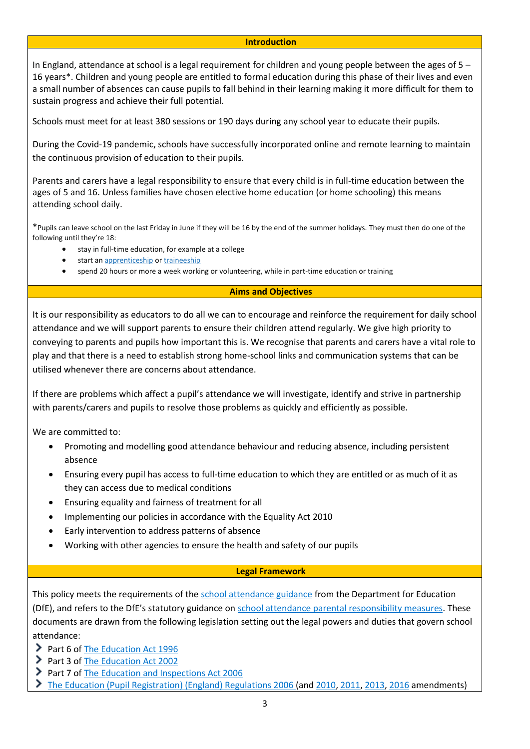#### **Introduction**

In England, attendance at school is a legal requirement for children and young people between the ages of 5 – 16 years\*. Children and young people are entitled to formal education during this phase of their lives and even a small number of absences can cause pupils to fall behind in their learning making it more difficult for them to sustain progress and achieve their full potential.

Schools must meet for at least 380 sessions or 190 days during any school year to educate their pupils.

During the Covid-19 pandemic, schools have successfully incorporated online and remote learning to maintain the continuous provision of education to their pupils.

Parents and carers have a legal responsibility to ensure that every child is in full-time education between the ages of 5 and 16. Unless families have chosen elective home education (or home schooling) this means attending school daily.

\*Pupils can leave school on the last Friday in June if they will be 16 by the end of the summer holidays. They must then do one of the following until they're 18:

- stay in full-time education, for example at a college
- start an [apprenticeship](https://www.gov.uk/apprenticeships-guide) or [traineeship](https://www.gov.uk/find-traineeship)
- spend 20 hours or more a week working or volunteering, while in part-time education or training

#### **Aims and Objectives**

It is our responsibility as educators to do all we can to encourage and reinforce the requirement for daily school attendance and we will support parents to ensure their children attend regularly. We give high priority to conveying to parents and pupils how important this is. We recognise that parents and carers have a vital role to play and that there is a need to establish strong home-school links and communication systems that can be utilised whenever there are concerns about attendance.

If there are problems which affect a pupil's attendance we will investigate, identify and strive in partnership with parents/carers and pupils to resolve those problems as quickly and efficiently as possible.

We are committed to:

- Promoting and modelling good attendance behaviour and reducing absence, including persistent absence
- Ensuring every pupil has access to full-time education to which they are entitled or as much of it as they can access due to medical conditions
- Ensuring equality and fairness of treatment for all
- Implementing our policies in accordance with the Equality Act 2010
- Early intervention to address patterns of absence
- Working with other agencies to ensure the health and safety of our pupils

#### **Legal Framework**

This policy meets the requirements of th[e school attendance guidance](https://www.gov.uk/government/publications/school-attendance) from the Department for Education (DfE), and refers to the DfE's statutory guidance on [school attendance parental responsibility measures.](https://www.gov.uk/government/publications/parental-responsibility-measures-for-behaviour-and-attendance) These documents are drawn from the following legislation setting out the legal powers and duties that govern school attendance:

- Part 6 of [The Education Act 1996](https://www.legislation.gov.uk/ukpga/1996/56/part/VI/chapter/II)
- Part 3 of [The Education Act 2002](http://www.legislation.gov.uk/ukpga/2002/32/part/3/chapter/3)
- Part 7 of [The Education and Inspections Act 2006](http://www.legislation.gov.uk/ukpga/2006/40/part/7/chapter/2/crossheading/school-attendance)
- [The Education \(Pupil Registration\) \(England\) Regulations 2006](http://www.legislation.gov.uk/uksi/2006/1751/contents/made) (and [2010,](https://www.legislation.gov.uk/uksi/2010/1725/regulation/2/made) [2011,](https://www.legislation.gov.uk/uksi/2011/1625/made) [2013,](https://www.legislation.gov.uk/uksi/2013/756/made) [2016](https://www.legislation.gov.uk/uksi/2016/792/made/data.html) amendments)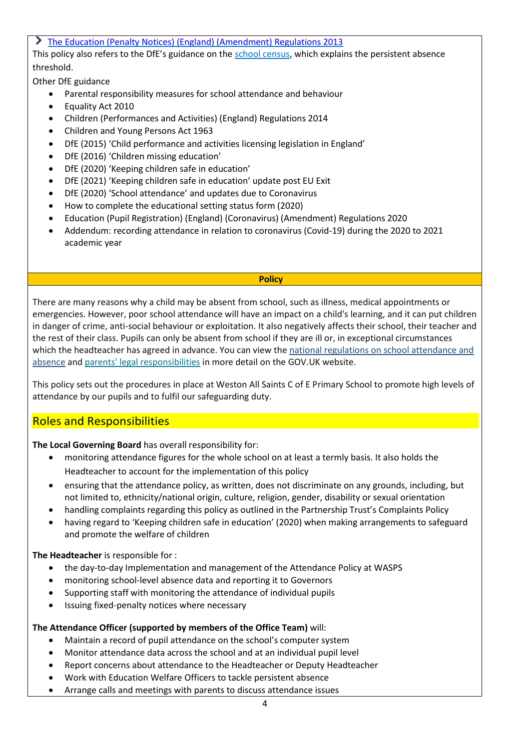#### [The Education \(Penalty Notices\) \(England\) \(Amendment\) Regulations 2013](https://www.legislation.gov.uk/uksi/2013/757/regulation/2/made)

This policy also refers to the DfE's guidance on the [school census,](https://www.gov.uk/guidance/complete-the-school-census) which explains the persistent absence threshold.

Other DfE guidance

- Parental responsibility measures for school attendance and behaviour
- Equality Act 2010
- Children (Performances and Activities) (England) Regulations 2014
- Children and Young Persons Act 1963
- DfE (2015) 'Child performance and activities licensing legislation in England'
- DfE (2016) 'Children missing education'
- DfE (2020) 'Keeping children safe in education'
- DfE (2021) 'Keeping children safe in education' update post EU Exit
- DfE (2020) 'School attendance' and updates due to Coronavirus
- How to complete the educational setting status form (2020)
- Education (Pupil Registration) (England) (Coronavirus) (Amendment) Regulations 2020
- Addendum: recording attendance in relation to coronavirus (Covid-19) during the 2020 to 2021 academic year

#### **Policy**

There are many reasons why a child may be absent from school, such as illness, medical appointments or emergencies. However, poor school attendance will have an impact on a child's learning, and it can put children in danger of crime, anti-social behaviour or exploitation. It also negatively affects their school, their teacher and the rest of their class. Pupils can only be absent from school if they are ill or, in exceptional circumstances which the headteacher has agreed in advance. You can view the national regulations on school attendance and [absence](https://www.gov.uk/school-attendance-absence) and [parents' legal responsibilities](https://assets.publishing.service.gov.uk/government/uploads/system/uploads/attachment_data/file/581539/School_attendance_parental_responsibility_measures_statutory_guidance.pdf) in more detail on the GOV.UK website.

This policy sets out the procedures in place at Weston All Saints C of E Primary School to promote high levels of attendance by our pupils and to fulfil our safeguarding duty.

#### Roles and Responsibilities

**The Local Governing Board** has overall responsibility for:

- monitoring attendance figures for the whole school on at least a termly basis. It also holds the Headteacher to account for the implementation of this policy
- ensuring that the attendance policy, as written, does not discriminate on any grounds, including, but not limited to, ethnicity/national origin, culture, religion, gender, disability or sexual orientation
- handling complaints regarding this policy as outlined in the Partnership Trust's Complaints Policy
- having regard to 'Keeping children safe in education' (2020) when making arrangements to safeguard and promote the welfare of children

#### **The Headteacher** is responsible for :

- the day-to-day Implementation and management of the Attendance Policy at WASPS
- monitoring school-level absence data and reporting it to Governors
- Supporting staff with monitoring the attendance of individual pupils
- Issuing fixed-penalty notices where necessary

#### **The Attendance Officer (supported by members of the Office Team)** will:

- Maintain a record of pupil attendance on the school's computer system
- Monitor attendance data across the school and at an individual pupil level
- Report concerns about attendance to the Headteacher or Deputy Headteacher
- Work with Education Welfare Officers to tackle persistent absence
- Arrange calls and meetings with parents to discuss attendance issues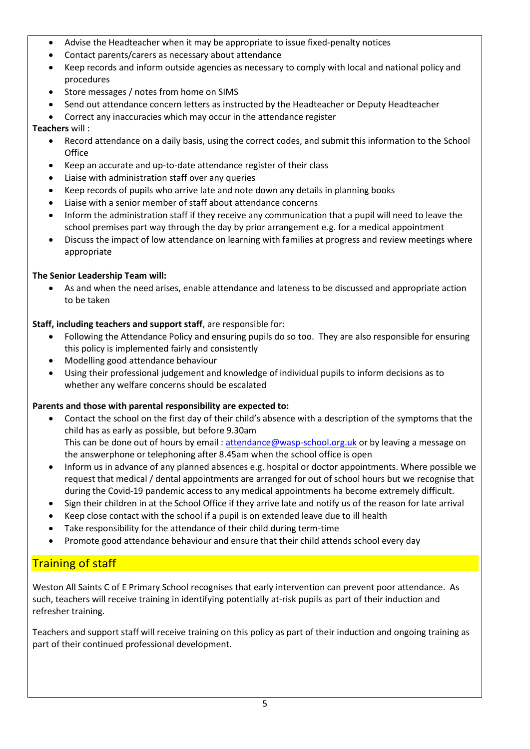- Advise the Headteacher when it may be appropriate to issue fixed-penalty notices
- Contact parents/carers as necessary about attendance
- Keep records and inform outside agencies as necessary to comply with local and national policy and procedures
- Store messages / notes from home on SIMS
- Send out attendance concern letters as instructed by the Headteacher or Deputy Headteacher
- Correct any inaccuracies which may occur in the attendance register

#### **Teachers** will :

- Record attendance on a daily basis, using the correct codes, and submit this information to the School **Office**
- Keep an accurate and up-to-date attendance register of their class
- Liaise with administration staff over any queries
- Keep records of pupils who arrive late and note down any details in planning books
- Liaise with a senior member of staff about attendance concerns
- Inform the administration staff if they receive any communication that a pupil will need to leave the school premises part way through the day by prior arrangement e.g. for a medical appointment
- Discuss the impact of low attendance on learning with families at progress and review meetings where appropriate

#### **The Senior Leadership Team will:**

• As and when the need arises, enable attendance and lateness to be discussed and appropriate action to be taken

#### **Staff, including teachers and support staff**, are responsible for:

- Following the Attendance Policy and ensuring pupils do so too. They are also responsible for ensuring this policy is implemented fairly and consistently
- Modelling good attendance behaviour
- Using their professional judgement and knowledge of individual pupils to inform decisions as to whether any welfare concerns should be escalated

#### **Parents and those with parental responsibility are expected to:**

- Contact the school on the first day of their child's absence with a description of the symptoms that the child has as early as possible, but before 9.30am This can be done out of hours by email [: attendance@wasp-school.org.uk](mailto:attendance@wasp-school.org.uk) or by leaving a message on the answerphone or telephoning after 8.45am when the school office is open
- Inform us in advance of any planned absences e.g. hospital or doctor appointments. Where possible we request that medical / dental appointments are arranged for out of school hours but we recognise that during the Covid-19 pandemic access to any medical appointments ha become extremely difficult.
- Sign their children in at the School Office if they arrive late and notify us of the reason for late arrival
- Keep close contact with the school if a pupil is on extended leave due to ill health
- Take responsibility for the attendance of their child during term-time
- Promote good attendance behaviour and ensure that their child attends school every day

#### Training of staff

Weston All Saints C of E Primary School recognises that early intervention can prevent poor attendance. As such, teachers will receive training in identifying potentially at-risk pupils as part of their induction and refresher training.

Teachers and support staff will receive training on this policy as part of their induction and ongoing training as part of their continued professional development.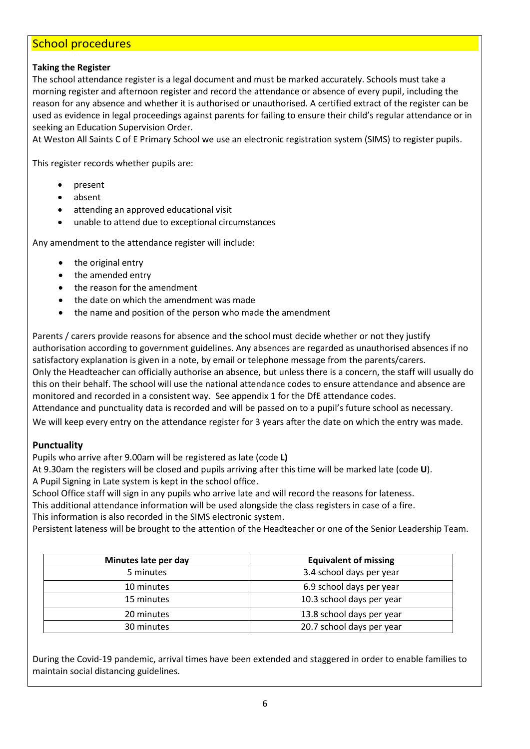#### School procedures

#### **Taking the Register**

The school attendance register is a legal document and must be marked accurately. Schools must take a morning register and afternoon register and record the attendance or absence of every pupil, including the reason for any absence and whether it is authorised or unauthorised. A certified extract of the register can be used as evidence in legal proceedings against parents for failing to ensure their child's regular attendance or in seeking an Education Supervision Order.

At Weston All Saints C of E Primary School we use an electronic registration system (SIMS) to register pupils.

This register records whether pupils are:

- present
- absent
- attending an approved educational visit
- unable to attend due to exceptional circumstances

Any amendment to the attendance register will include:

- the original entry
- the amended entry
- the reason for the amendment
- the date on which the amendment was made
- the name and position of the person who made the amendment

Parents / carers provide reasons for absence and the school must decide whether or not they justify authorisation according to government guidelines. Any absences are regarded as unauthorised absences if no satisfactory explanation is given in a note, by email or telephone message from the parents/carers. Only the Headteacher can officially authorise an absence, but unless there is a concern, the staff will usually do this on their behalf. The school will use the national attendance codes to ensure attendance and absence are monitored and recorded in a consistent way. See appendix 1 for the DfE attendance codes. Attendance and punctuality data is recorded and will be passed on to a pupil's future school as necessary.

We will keep every entry on the attendance register for 3 years after the date on which the entry was made.

#### **Punctuality**

Pupils who arrive after 9.00am will be registered as late (code **L)**

At 9.30am the registers will be closed and pupils arriving after this time will be marked late (code **U**). A Pupil Signing in Late system is kept in the school office.

School Office staff will sign in any pupils who arrive late and will record the reasons for lateness.

This additional attendance information will be used alongside the class registers in case of a fire.

This information is also recorded in the SIMS electronic system.

Persistent lateness will be brought to the attention of the Headteacher or one of the Senior Leadership Team.

| Minutes late per day | <b>Equivalent of missing</b> |
|----------------------|------------------------------|
| 5 minutes            | 3.4 school days per year     |
| 10 minutes           | 6.9 school days per year     |
| 15 minutes           | 10.3 school days per year    |
| 20 minutes           | 13.8 school days per year    |
| 30 minutes           | 20.7 school days per year    |

During the Covid-19 pandemic, arrival times have been extended and staggered in order to enable families to maintain social distancing guidelines.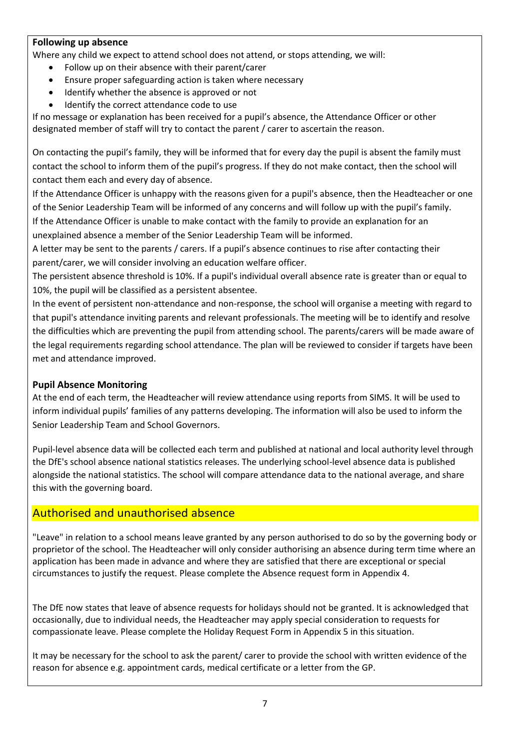#### **Following up absence**

Where any child we expect to attend school does not attend, or stops attending, we will:

- Follow up on their absence with their parent/carer
- Ensure proper safeguarding action is taken where necessary
- Identify whether the absence is approved or not
- Identify the correct attendance code to use

If no message or explanation has been received for a pupil's absence, the Attendance Officer or other designated member of staff will try to contact the parent / carer to ascertain the reason.

On contacting the pupil's family, they will be informed that for every day the pupil is absent the family must contact the school to inform them of the pupil's progress. If they do not make contact, then the school will contact them each and every day of absence.

If the Attendance Officer is unhappy with the reasons given for a pupil's absence, then the Headteacher or one of the Senior Leadership Team will be informed of any concerns and will follow up with the pupil's family. If the Attendance Officer is unable to make contact with the family to provide an explanation for an unexplained absence a member of the Senior Leadership Team will be informed.

A letter may be sent to the parents / carers. If a pupil's absence continues to rise after contacting their parent/carer, we will consider involving an education welfare officer.

The persistent absence threshold is 10%. If a pupil's individual overall absence rate is greater than or equal to 10%, the pupil will be classified as a persistent absentee.

In the event of persistent non-attendance and non-response, the school will organise a meeting with regard to that pupil's attendance inviting parents and relevant professionals. The meeting will be to identify and resolve the difficulties which are preventing the pupil from attending school. The parents/carers will be made aware of the legal requirements regarding school attendance. The plan will be reviewed to consider if targets have been met and attendance improved.

#### **Pupil Absence Monitoring**

At the end of each term, the Headteacher will review attendance using reports from SIMS. It will be used to inform individual pupils' families of any patterns developing. The information will also be used to inform the Senior Leadership Team and School Governors.

Pupil-level absence data will be collected each term and published at national and local authority level through the DfE's school absence national statistics releases. The underlying school-level absence data is published alongside the national statistics. The school will compare attendance data to the national average, and share this with the governing board.

#### Authorised and unauthorised absence

"Leave" in relation to a school means leave granted by any person authorised to do so by the governing body or proprietor of the school. The Headteacher will only consider authorising an absence during term time where an application has been made in advance and where they are satisfied that there are exceptional or special circumstances to justify the request. Please complete the Absence request form in Appendix 4.

The DfE now states that leave of absence requests for holidays should not be granted. It is acknowledged that occasionally, due to individual needs, the Headteacher may apply special consideration to requests for compassionate leave. Please complete the Holiday Request Form in Appendix 5 in this situation.

It may be necessary for the school to ask the parent/ carer to provide the school with written evidence of the reason for absence e.g. appointment cards, medical certificate or a letter from the GP.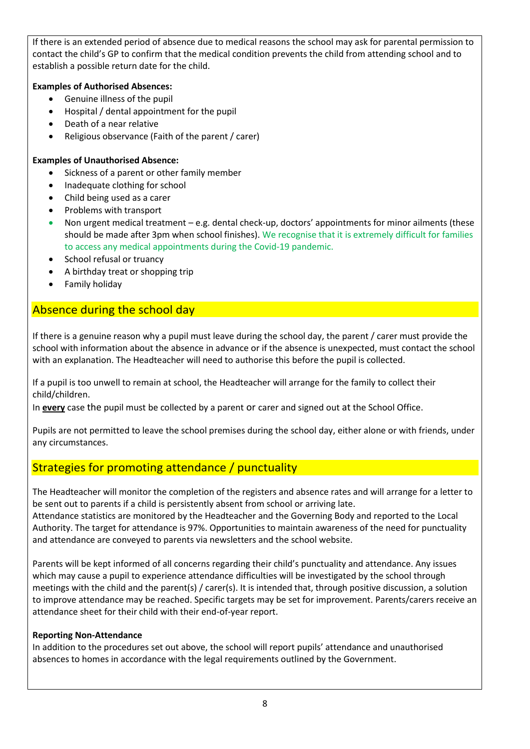If there is an extended period of absence due to medical reasons the school may ask for parental permission to contact the child's GP to confirm that the medical condition prevents the child from attending school and to establish a possible return date for the child.

#### **Examples of Authorised Absences:**

- Genuine illness of the pupil
- Hospital / dental appointment for the pupil
- Death of a near relative
- Religious observance (Faith of the parent / carer)

#### **Examples of Unauthorised Absence:**

- Sickness of a parent or other family member
- Inadequate clothing for school
- Child being used as a carer
- Problems with transport
- Non urgent medical treatment e.g. dental check-up, doctors' appointments for minor ailments (these should be made after 3pm when school finishes). We recognise that it is extremely difficult for families to access any medical appointments during the Covid-19 pandemic.
- School refusal or truancy
- A birthday treat or shopping trip
- Family holiday

#### Absence during the school day

If there is a genuine reason why a pupil must leave during the school day, the parent / carer must provide the school with information about the absence in advance or if the absence is unexpected, must contact the school with an explanation. The Headteacher will need to authorise this before the pupil is collected.

If a pupil is too unwell to remain at school, the Headteacher will arrange for the family to collect their child/children.

In **every** case the pupil must be collected by a parent or carer and signed out at the School Office.

Pupils are not permitted to leave the school premises during the school day, either alone or with friends, under any circumstances.

#### Strategies for promoting attendance / punctuality

The Headteacher will monitor the completion of the registers and absence rates and will arrange for a letter to be sent out to parents if a child is persistently absent from school or arriving late.

Attendance statistics are monitored by the Headteacher and the Governing Body and reported to the Local Authority. The target for attendance is 97%. Opportunities to maintain awareness of the need for punctuality and attendance are conveyed to parents via newsletters and the school website.

Parents will be kept informed of all concerns regarding their child's punctuality and attendance. Any issues which may cause a pupil to experience attendance difficulties will be investigated by the school through meetings with the child and the parent(s) / carer(s). It is intended that, through positive discussion, a solution to improve attendance may be reached. Specific targets may be set for improvement. Parents/carers receive an attendance sheet for their child with their end-of-year report.

#### **Reporting Non-Attendance**

In addition to the procedures set out above, the school will report pupils' attendance and unauthorised absences to homes in accordance with the legal requirements outlined by the Government.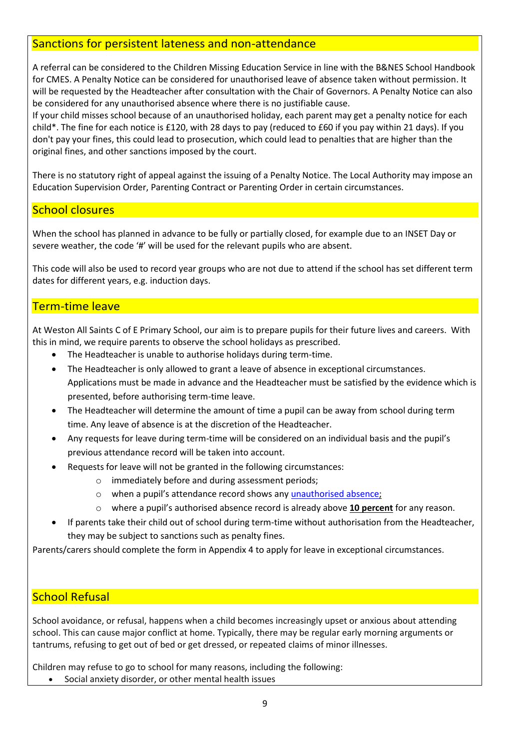#### Sanctions for persistent lateness and non-attendance

A referral can be considered to the Children Missing Education Service in line with the B&NES School Handbook for CMES. A Penalty Notice can be considered for unauthorised leave of absence taken without permission. It will be requested by the Headteacher after consultation with the Chair of Governors. A Penalty Notice can also be considered for any unauthorised absence where there is no justifiable cause.

If your child misses school because of an unauthorised holiday, each parent may get a penalty notice for each child\*. The fine for each notice is £120, with 28 days to pay (reduced to £60 if you pay within 21 days). If you don't pay your fines, this could lead to prosecution, which could lead to penalties that are higher than the original fines, and other sanctions imposed by the court.

There is no statutory right of appeal against the issuing of a Penalty Notice. The Local Authority may impose an Education Supervision Order, Parenting Contract or Parenting Order in certain circumstances.

#### School closures

When the school has planned in advance to be fully or partially closed, for example due to an INSET Day or severe weather, the code '#' will be used for the relevant pupils who are absent.

This code will also be used to record year groups who are not due to attend if the school has set different term dates for different years, e.g. induction days.

#### Term-time leave

At Weston All Saints C of E Primary School, our aim is to prepare pupils for their future lives and careers. With this in mind, we require parents to observe the school holidays as prescribed.

- The Headteacher is unable to authorise holidays during term-time.
- The Headteacher is only allowed to grant a leave of absence in exceptional circumstances. Applications must be made in advance and the Headteacher must be satisfied by the evidence which is presented, before authorising term-time leave.
- The Headteacher will determine the amount of time a pupil can be away from school during term time. Any leave of absence is at the discretion of the Headteacher.
- Any requests for leave during term-time will be considered on an individual basis and the pupil's previous attendance record will be taken into account.
- Requests for leave will not be granted in the following circumstances:
	- o immediately before and during assessment periods;
	- o when a pupil's attendance record shows any unauthorised absence;
	- o where a pupil's authorised absence record is already above **10 percent** for any reason.
- If parents take their child out of school during term-time without authorisation from the Headteacher, they may be subject to sanctions such as penalty fines.

Parents/carers should complete the form in Appendix 4 to apply for leave in exceptional circumstances.

#### School Refusal

School avoidance, or refusal, happens when a child becomes increasingly upset or anxious about attending school. This can cause major conflict at home. Typically, there may be regular early morning arguments or tantrums, refusing to get out of bed or get dressed, or repeated claims of minor illnesses.

Children may refuse to go to school for many reasons, including the following:

Social anxiety disorder, or other mental health issues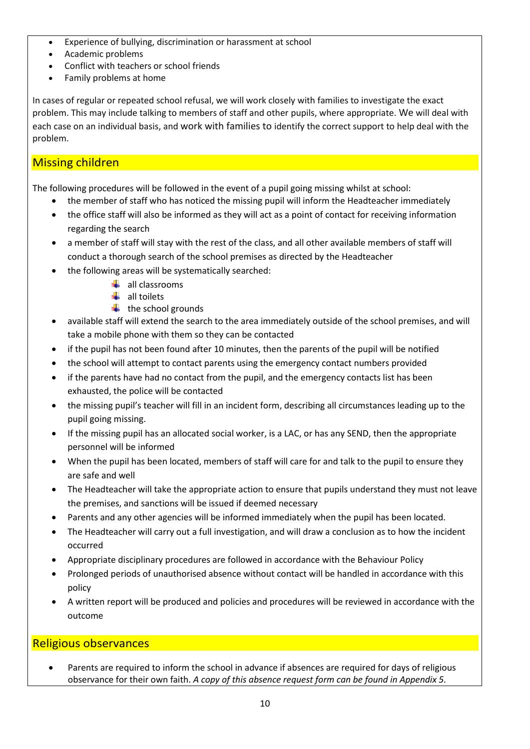- Experience of bullying, discrimination or harassment at school
- Academic problems
- Conflict with teachers or school friends
- Family problems at home

In cases of regular or repeated school refusal, we will work closely with families to investigate the exact problem. This may include talking to members of staff and other pupils, where appropriate. We will deal with each case on an individual basis, and work with families to identify the correct support to help deal with the problem.

#### Missing children

The following procedures will be followed in the event of a pupil going missing whilst at school:

- the member of staff who has noticed the missing pupil will inform the Headteacher immediately
- the office staff will also be informed as they will act as a point of contact for receiving information regarding the search
- a member of staff will stay with the rest of the class, and all other available members of staff will conduct a thorough search of the school premises as directed by the Headteacher
- the following areas will be systematically searched:
	- $\leftarrow$  all classrooms
	- $\frac{1}{2}$  all toilets
	- $\ddot{\bullet}$  the school grounds
- available staff will extend the search to the area immediately outside of the school premises, and will take a mobile phone with them so they can be contacted
- if the pupil has not been found after 10 minutes, then the parents of the pupil will be notified
- the school will attempt to contact parents using the emergency contact numbers provided
- if the parents have had no contact from the pupil, and the emergency contacts list has been exhausted, the police will be contacted
- the missing pupil's teacher will fill in an incident form, describing all circumstances leading up to the pupil going missing.
- If the missing pupil has an allocated social worker, is a LAC, or has any SEND, then the appropriate personnel will be informed
- When the pupil has been located, members of staff will care for and talk to the pupil to ensure they are safe and well
- The Headteacher will take the appropriate action to ensure that pupils understand they must not leave the premises, and sanctions will be issued if deemed necessary
- Parents and any other agencies will be informed immediately when the pupil has been located.
- The Headteacher will carry out a full investigation, and will draw a conclusion as to how the incident occurred
- Appropriate disciplinary procedures are followed in accordance with the Behaviour Policy
- Prolonged periods of unauthorised absence without contact will be handled in accordance with this policy
- A written report will be produced and policies and procedures will be reviewed in accordance with the outcome

#### Religious observances

• Parents are required to inform the school in advance if absences are required for days of religious observance for their own faith. *A copy of this absence request form can be found in Appendix 5.*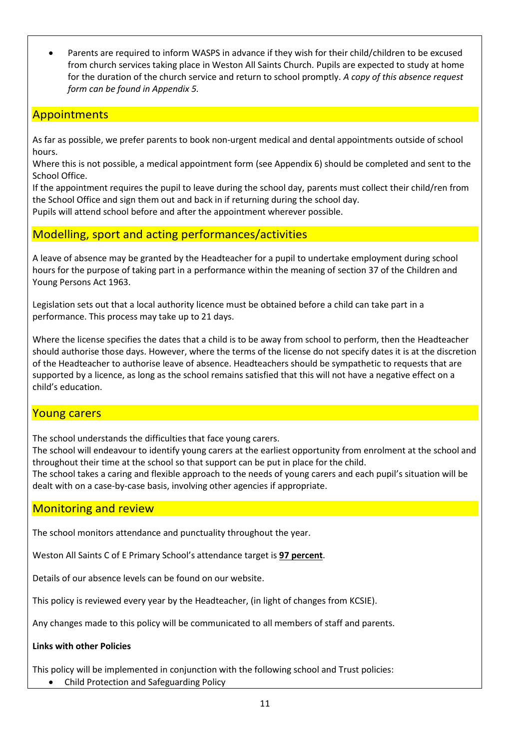• Parents are required to inform WASPS in advance if they wish for their child/children to be excused from church services taking place in Weston All Saints Church. Pupils are expected to study at home for the duration of the church service and return to school promptly. *A copy of this absence request form can be found in Appendix 5.*

#### **Appointments**

As far as possible, we prefer parents to book non-urgent medical and dental appointments outside of school hours.

Where this is not possible, a medical appointment form (see Appendix 6) should be completed and sent to the School Office.

If the appointment requires the pupil to leave during the school day, parents must collect their child/ren from the School Office and sign them out and back in if returning during the school day. Pupils will attend school before and after the appointment wherever possible.

#### Modelling, sport and acting performances/activities

A leave of absence may be granted by the Headteacher for a pupil to undertake employment during school hours for the purpose of taking part in a performance within the meaning of section 37 of the Children and Young Persons Act 1963.

Legislation sets out that a local authority licence must be obtained before a child can take part in a performance. This process may take up to 21 days.

Where the license specifies the dates that a child is to be away from school to perform, then the Headteacher should authorise those days. However, where the terms of the license do not specify dates it is at the discretion of the Headteacher to authorise leave of absence. Headteachers should be sympathetic to requests that are supported by a licence, as long as the school remains satisfied that this will not have a negative effect on a child's education.

#### Young carers

The school understands the difficulties that face young carers.

The school will endeavour to identify young carers at the earliest opportunity from enrolment at the school and throughout their time at the school so that support can be put in place for the child.

The school takes a caring and flexible approach to the needs of young carers and each pupil's situation will be dealt with on a case-by-case basis, involving other agencies if appropriate.

#### Monitoring and review

The school monitors attendance and punctuality throughout the year.

Weston All Saints C of E Primary School's attendance target is **97 percent**.

Details of our absence levels can be found on our website.

This policy is reviewed every year by the Headteacher, (in light of changes from KCSIE).

Any changes made to this policy will be communicated to all members of staff and parents.

#### **Links with other Policies**

This policy will be implemented in conjunction with the following school and Trust policies:

• Child Protection and Safeguarding Policy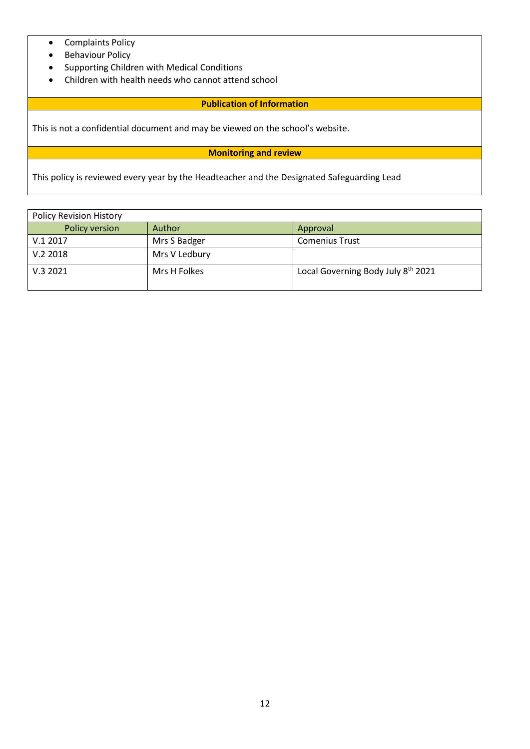- Complaints Policy
- Behaviour Policy
- Supporting Children with Medical Conditions
- Children with health needs who cannot attend school

#### **Publication of Information**

This is not a confidential document and may be viewed on the school's website.

#### **Monitoring and review**

This policy is reviewed every year by the Headteacher and the Designated Safeguarding Lead

| <b>Policy Revision History</b> |               |                                                |
|--------------------------------|---------------|------------------------------------------------|
| Policy version                 | Author        | Approval                                       |
| V.12017                        | Mrs S Badger  | <b>Comenius Trust</b>                          |
| V.22018                        | Mrs V Ledbury |                                                |
| V.32021                        | Mrs H Folkes  | Local Governing Body July 8 <sup>th</sup> 2021 |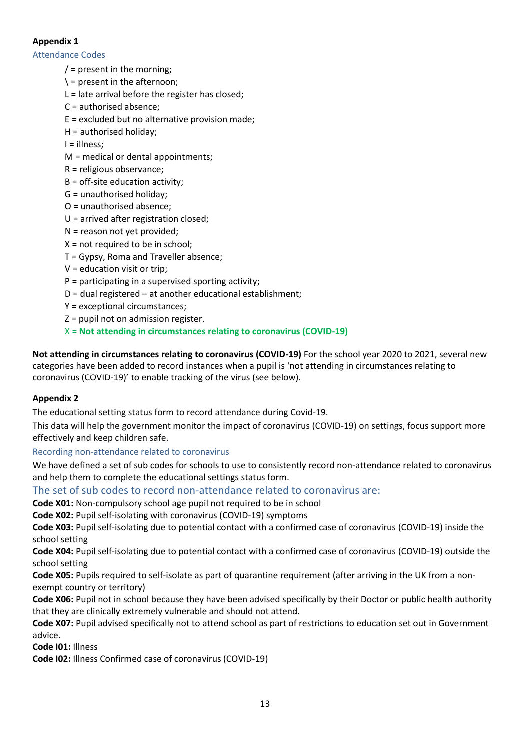#### **Appendix 1**

Attendance Codes

- $/$  = present in the morning;
- $\backslash$  = present in the afternoon;
- $L =$  late arrival before the register has closed;
- C = authorised absence;
- E = excluded but no alternative provision made;
- H = authorised holiday;

I = illness;

- M = medical or dental appointments;
- R = religious observance;
- $B =$  off-site education activity;
- G = unauthorised holiday;
- O = unauthorised absence;
- U = arrived after registration closed;
- N = reason not yet provided;
- $X = not required to be in school;$
- T = Gypsy, Roma and Traveller absence;
- V = education visit or trip;
- $P =$  participating in a supervised sporting activity;
- D = dual registered at another educational establishment;
- Y = exceptional circumstances;
- Z = pupil not on admission register.
- X = **Not attending in circumstances relating to coronavirus (COVID-19)**

**Not attending in circumstances relating to coronavirus (COVID-19)** For the school year 2020 to 2021, several new categories have been added to record instances when a pupil is 'not attending in circumstances relating to coronavirus (COVID-19)' to enable tracking of the virus (see below).

#### **Appendix 2**

The educational setting status form to record attendance during Covid-19.

This data will help the government monitor the impact of coronavirus (COVID-19) on settings, focus support more effectively and keep children safe.

#### Recording non-attendance related to coronavirus

We have defined a set of sub codes for schools to use to consistently record non-attendance related to coronavirus and help them to complete the educational settings status form.

#### The set of sub codes to record non-attendance related to coronavirus are:

**Code X01:** Non-compulsory school age pupil not required to be in school

**Code X02:** Pupil self-isolating with coronavirus (COVID-19) symptoms

**Code X03:** Pupil self-isolating due to potential contact with a confirmed case of coronavirus (COVID-19) inside the school setting

**Code X04:** Pupil self-isolating due to potential contact with a confirmed case of coronavirus (COVID-19) outside the school setting

**Code X05:** Pupils required to self-isolate as part of quarantine requirement (after arriving in the UK from a nonexempt country or territory)

**Code X06:** Pupil not in school because they have been advised specifically by their Doctor or public health authority that they are clinically extremely vulnerable and should not attend.

**Code X07:** Pupil advised specifically not to attend school as part of restrictions to education set out in Government advice.

**Code I01:** Illness

**Code I02:** Illness Confirmed case of coronavirus (COVID-19)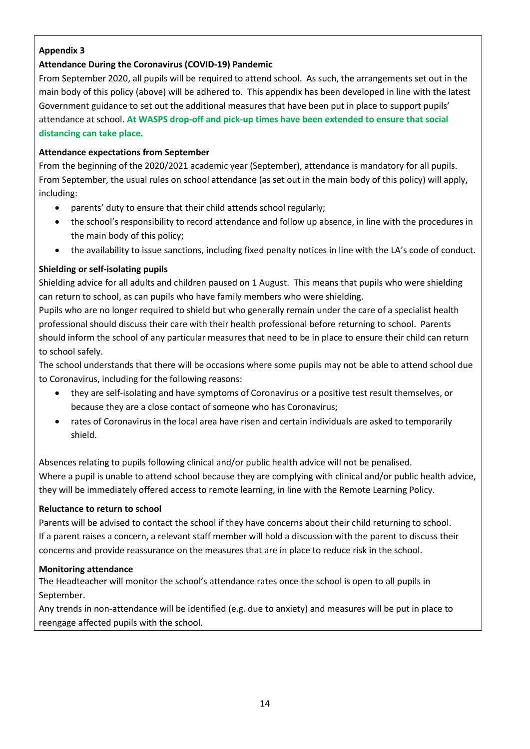#### **Appendix 3**

#### **Attendance During the Coronavirus (COVID-19) Pandemic**

From September 2020, all pupils will be required to attend school. As such, the arrangements set out in the main body of this policy (above) will be adhered to. This appendix has been developed in line with the latest Government guidance to set out the additional measures that have been put in place to support pupils' attendance at school. **At WASPS drop-off and pick-up times have been extended to ensure that social distancing can take place.**

#### **Attendance expectations from September**

From the beginning of the 2020/2021 academic year (September), attendance is mandatory for all pupils. From September, the usual rules on school attendance (as set out in the main body of this policy) will apply, including:

- parents' duty to ensure that their child attends school regularly;
- the school's responsibility to record attendance and follow up absence, in line with the procedures in the main body of this policy;
- the availability to issue sanctions, including fixed penalty notices in line with the LA's code of conduct.

#### **Shielding or self-isolating pupils**

Shielding advice for all adults and children paused on 1 August. This means that pupils who were shielding can return to school, as can pupils who have family members who were shielding.

Pupils who are no longer required to shield but who generally remain under the care of a specialist health professional should discuss their care with their health professional before returning to school. Parents should inform the school of any particular measures that need to be in place to ensure their child can return to school safely.

The school understands that there will be occasions where some pupils may not be able to attend school due to Coronavirus, including for the following reasons:

- they are self-isolating and have symptoms of Coronavirus or a positive test result themselves, or because they are a close contact of someone who has Coronavirus;
- rates of Coronavirus in the local area have risen and certain individuals are asked to temporarily shield.

Absences relating to pupils following clinical and/or public health advice will not be penalised. Where a pupil is unable to attend school because they are complying with clinical and/or public health advice, they will be immediately offered access to remote learning, in line with the Remote Learning Policy.

#### **Reluctance to return to school**

Parents will be advised to contact the school if they have concerns about their child returning to school. If a parent raises a concern, a relevant staff member will hold a discussion with the parent to discuss their concerns and provide reassurance on the measures that are in place to reduce risk in the school.

#### **Monitoring attendance**

The Headteacher will monitor the school's attendance rates once the school is open to all pupils in September.

Any trends in non-attendance will be identified (e.g. due to anxiety) and measures will be put in place to reengage affected pupils with the school.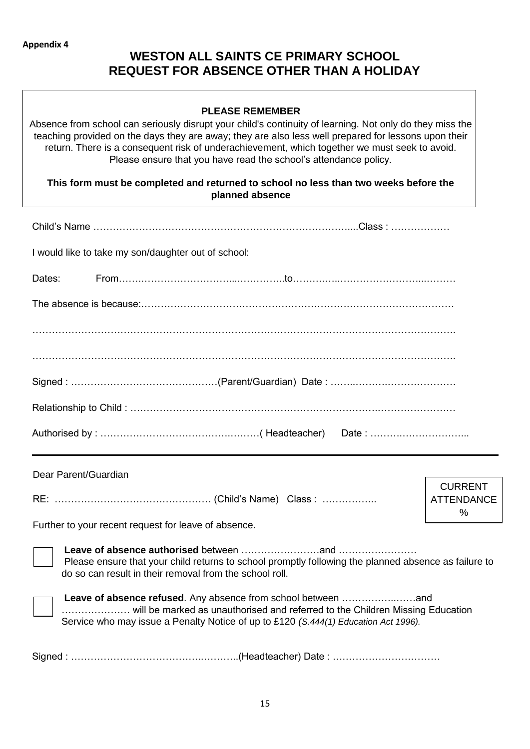### **WESTON ALL SAINTS CE PRIMARY SCHOOL REQUEST FOR ABSENCE OTHER THAN A HOLIDAY**

#### **PLEASE REMEMBER**

Absence from school can seriously disrupt your child's continuity of learning. Not only do they miss the teaching provided on the days they are away; they are also less well prepared for lessons upon their return. There is a consequent risk of underachievement, which together we must seek to avoid. Please ensure that you have read the school's attendance policy.

#### **This form must be completed and returned to school no less than two weeks before the planned absence**

|                      | Child's Name ………………………………………………………………………………Class : ………………                                                                                                            |                           |
|----------------------|----------------------------------------------------------------------------------------------------------------------------------------------------------------------|---------------------------|
|                      | I would like to take my son/daughter out of school:                                                                                                                  |                           |
| Dates:               |                                                                                                                                                                      |                           |
|                      |                                                                                                                                                                      |                           |
|                      |                                                                                                                                                                      |                           |
|                      |                                                                                                                                                                      |                           |
|                      |                                                                                                                                                                      |                           |
|                      |                                                                                                                                                                      |                           |
|                      |                                                                                                                                                                      |                           |
|                      |                                                                                                                                                                      |                           |
| Dear Parent/Guardian |                                                                                                                                                                      | <b>CURRENT</b>            |
|                      |                                                                                                                                                                      | <b>ATTENDANCE</b><br>$\%$ |
|                      | Further to your recent request for leave of absence.                                                                                                                 |                           |
|                      | Please ensure that your child returns to school promptly following the planned absence as failure to<br>do so can result in their removal from the school roll.      |                           |
|                      | will be marked as unauthorised and referred to the Children Missing Education<br>Service who may issue a Penalty Notice of up to £120 (S.444(1) Education Act 1996). |                           |
|                      |                                                                                                                                                                      |                           |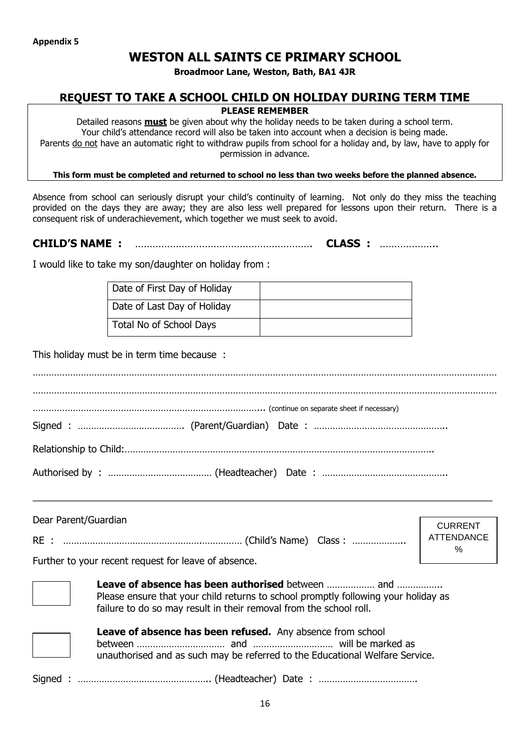### **WESTON ALL SAINTS CE PRIMARY SCHOOL**

**Broadmoor Lane, Weston, Bath, BA1 4JR**

#### **REQUEST TO TAKE A SCHOOL CHILD ON HOLIDAY DURING TERM TIME**

#### **PLEASE REMEMBER**

Detailed reasons **must** be given about why the holiday needs to be taken during a school term. Your child's attendance record will also be taken into account when a decision is being made. Parents do not have an automatic right to withdraw pupils from school for a holiday and, by law, have to apply for permission in advance.

**This form must be completed and returned to school no less than two weeks before the planned absence.**

Absence from school can seriously disrupt your child's continuity of learning. Not only do they miss the teaching provided on the days they are away; they are also less well prepared for lessons upon their return. There is a consequent risk of underachievement, which together we must seek to avoid.

**CHILD'S NAME :** ……………………………………………………. **CLASS :** ………………..

I would like to take my son/daughter on holiday from :

| Date of First Day of Holiday |  |
|------------------------------|--|
| Date of Last Day of Holiday  |  |
| Total No of School Days      |  |

This holiday must be in term time because :

| (continue on separate sheet if necessary) |  |
|-------------------------------------------|--|
|                                           |  |
|                                           |  |
|                                           |  |

| Dear Parent/Guardian                                                                                                                                     | <b>CURRENT</b>         |
|----------------------------------------------------------------------------------------------------------------------------------------------------------|------------------------|
|                                                                                                                                                          | <b>ATTENDANCE</b><br>% |
| Further to your recent request for leave of absence.                                                                                                     |                        |
| Please ensure that your child returns to school promptly following your holiday as<br>failure to do so may result in their removal from the school roll. |                        |

 $\_$  , and the set of the set of the set of the set of the set of the set of the set of the set of the set of the set of the set of the set of the set of the set of the set of the set of the set of the set of the set of th

**Leave of absence has been refused.** Any absence from school between …………………………… and ………………………… will be marked as

unauthorised and as such may be referred to the Educational Welfare Service.

Signed : ………………………………………….. (Headteacher) Date : ……………………………….